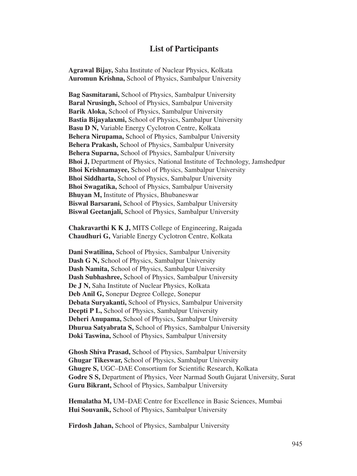## **List of Participants**

**Agrawal Bijay,** Saha Institute of Nuclear Physics, Kolkata **Auromun Krishna,** School of Physics, Sambalpur University

**Bag Sasmitarani,** School of Physics, Sambalpur University **Baral Nrusingh,** School of Physics, Sambalpur University **Barik Aloka,** School of Physics, Sambalpur University **Bastia Bijayalaxmi,** School of Physics, Sambalpur University **Basu D N,** Variable Energy Cyclotron Centre, Kolkata **Behera Nirupama,** School of Physics, Sambalpur University **Behera Prakash,** School of Physics, Sambalpur University **Behera Suparna,** School of Physics, Sambalpur University **Bhoi J,** Department of Physics, National Institute of Technology, Jamshedpur **Bhoi Krishnamayee,** School of Physics, Sambalpur University **Bhoi Siddharta,** School of Physics, Sambalpur University **Bhoi Swagatika,** School of Physics, Sambalpur University **Bhuyan M,** Institute of Physics, Bhubaneswar **Biswal Barsarani,** School of Physics, Sambalpur University **Biswal Geetanjali,** School of Physics, Sambalpur University

**Chakravarthi K K J,** MITS College of Engineering, Raigada **Chaudhuri G,** Variable Energy Cyclotron Centre, Kolkata

**Dani Swatilina,** School of Physics, Sambalpur University **Dash G N,** School of Physics, Sambalpur University **Dash Namita,** School of Physics, Sambalpur University **Dash Subhashree,** School of Physics, Sambalpur University **De J N,** Saha Institute of Nuclear Physics, Kolkata **Deb Anil G,** Sonepur Degree College, Sonepur **Debata Suryakanti,** School of Physics, Sambalpur University **Deepti P L,** School of Physics, Sambalpur University **Deheri Anupama,** School of Physics, Sambalpur University **Dhurua Satyabrata S,** School of Physics, Sambalpur University **Doki Taswina,** School of Physics, Sambalpur University

**Ghosh Shiva Prasad,** School of Physics, Sambalpur University **Ghugar Tikeswar,** School of Physics, Sambalpur University **Ghugre S,** UGC–DAE Consortium for Scientific Research, Kolkata **Godre S S,** Department of Physics, Veer Narmad South Gujarat University, Surat **Guru Bikrant,** School of Physics, Sambalpur University

**Hemalatha M,** UM–DAE Centre for Excellence in Basic Sciences, Mumbai **Hui Souvanik,** School of Physics, Sambalpur University

**Firdosh Jahan,** School of Physics, Sambalpur University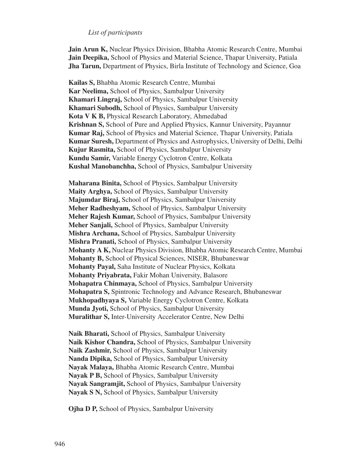## *List of participants*

**Jain Arun K,** Nuclear Physics Division, Bhabha Atomic Research Centre, Mumbai **Jain Deepika,** School of Physics and Material Science, Thapar University, Patiala **Jha Tarun,** Department of Physics, Birla Institute of Technology and Science, Goa

**Kailas S,** Bhabha Atomic Research Centre, Mumbai **Kar Neelima,** School of Physics, Sambalpur University **Khamari Lingraj,** School of Physics, Sambalpur University **Khamari Subodh,** School of Physics, Sambalpur University **Kota V K B,** Physical Research Laboratory, Ahmedabad **Krishnan S,** School of Pure and Applied Physics, Kannur University, Payannur **Kumar Raj,** School of Physics and Material Science, Thapar University, Patiala **Kumar Suresh,** Department of Physics and Astrophysics, University of Delhi, Delhi **Kujur Rasmita,** School of Physics, Sambalpur University **Kundu Samir,** Variable Energy Cyclotron Centre, Kolkata **Kushal Manobanchha,** School of Physics, Sambalpur University

**Maharana Binita,** School of Physics, Sambalpur University **Maity Arghya,** School of Physics, Sambalpur University **Majumdar Biraj,** School of Physics, Sambalpur University **Meher Radheshyam,** School of Physics, Sambalpur University **Meher Rajesh Kumar,** School of Physics, Sambalpur University **Meher Sanjali,** School of Physics, Sambalpur University **Mishra Archana,** School of Physics, Sambalpur University **Mishra Pranati,** School of Physics, Sambalpur University **Mohanty A K,** Nuclear Physics Division, Bhabha Atomic Research Centre, Mumbai **Mohanty B,** School of Physical Sciences, NISER, Bhubaneswar **Mohanty Payal,** Saha Institute of Nuclear Physics, Kolkata **Mohanty Priyabrata,** Fakir Mohan University, Balasore **Mohapatra Chinmaya,** School of Physics, Sambalpur University **Mohapatra S,** Spintronic Technology and Advance Research, Bhubaneswar **Mukhopadhyaya S,** Variable Energy Cyclotron Centre, Kolkata **Munda Jyoti,** School of Physics, Sambalpur University **Muralithar S,** Inter-University Accelerator Centre, New Delhi

**Naik Bharati,** School of Physics, Sambalpur University **Naik Kishor Chandra,** School of Physics, Sambalpur University **Naik Zashmir,** School of Physics, Sambalpur University **Nanda Dipika,** School of Physics, Sambalpur University **Nayak Malaya,** Bhabha Atomic Research Centre, Mumbai **Nayak P B,** School of Physics, Sambalpur University **Nayak Sangramjit,** School of Physics, Sambalpur University **Nayak S N,** School of Physics, Sambalpur University

**Ojha D P,** School of Physics, Sambalpur University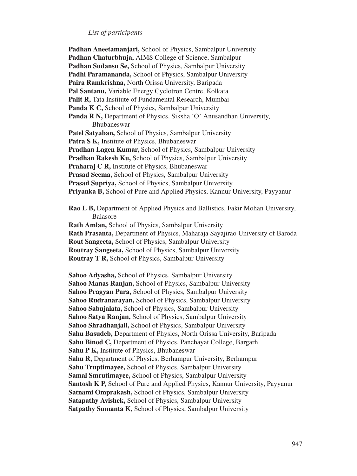## *List of participants*

**Padhan Aneetamanjari,** School of Physics, Sambalpur University **Padhan Chaturbhuja,** AIMS College of Science, Sambalpur **Padhan Sudansu Se,** School of Physics, Sambalpur University **Padhi Paramananda,** School of Physics, Sambalpur University **Paira Ramkrishna,** North Orissa University, Baripada **Pal Santanu,** Variable Energy Cyclotron Centre, Kolkata **Palit R,** Tata Institute of Fundamental Research, Mumbai Panda K C, School of Physics, Sambalpur University Panda R N, Department of Physics, Siksha 'O' Anusandhan University, Bhubaneswar **Patel Satyaban,** School of Physics, Sambalpur University **Patra S K,** Institute of Physics, Bhubaneswar **Pradhan Lagen Kumar,** School of Physics, Sambalpur University **Pradhan Rakesh Ku,** School of Physics, Sambalpur University **Praharaj C R,** Institute of Physics, Bhubaneswar **Prasad Seema,** School of Physics, Sambalpur University **Prasad Supriya,** School of Physics, Sambalpur University **Priyanka B,** School of Pure and Applied Physics, Kannur University, Payyanur

**Rao L B,** Department of Applied Physics and Ballistics, Fakir Mohan University, Balasore

**Rath Amlan,** School of Physics, Sambalpur University **Rath Prasanta,** Department of Physics, Maharaja Sayajirao University of Baroda **Rout Sangeeta,** School of Physics, Sambalpur University **Routray Sangeeta,** School of Physics, Sambalpur University **Routray T R,** School of Physics, Sambalpur University

**Sahoo Adyasha,** School of Physics, Sambalpur University **Sahoo Manas Ranjan,** School of Physics, Sambalpur University **Sahoo Pragyan Para,** School of Physics, Sambalpur University **Sahoo Rudranarayan,** School of Physics, Sambalpur University **Sahoo Sabujalata,** School of Physics, Sambalpur University **Sahoo Satya Ranjan,** School of Physics, Sambalpur University **Sahoo Shradhanjali,** School of Physics, Sambalpur University **Sahu Basudeb,** Department of Physics, North Orissa University, Baripada **Sahu Binod C,** Department of Physics, Panchayat College, Bargarh **Sahu P K,** Institute of Physics, Bhubaneswar **Sahu R,** Department of Physics, Berhampur University, Berhampur **Sahu Truptimayee,** School of Physics, Sambalpur University **Samal Smrutimayee,** School of Physics, Sambalpur University **Santosh K P,** School of Pure and Applied Physics, Kannur University, Payyanur **Satnami Omprakash,** School of Physics, Sambalpur University **Satapathy Avishek,** School of Physics, Sambalpur University **Satpathy Sumanta K,** School of Physics, Sambalpur University